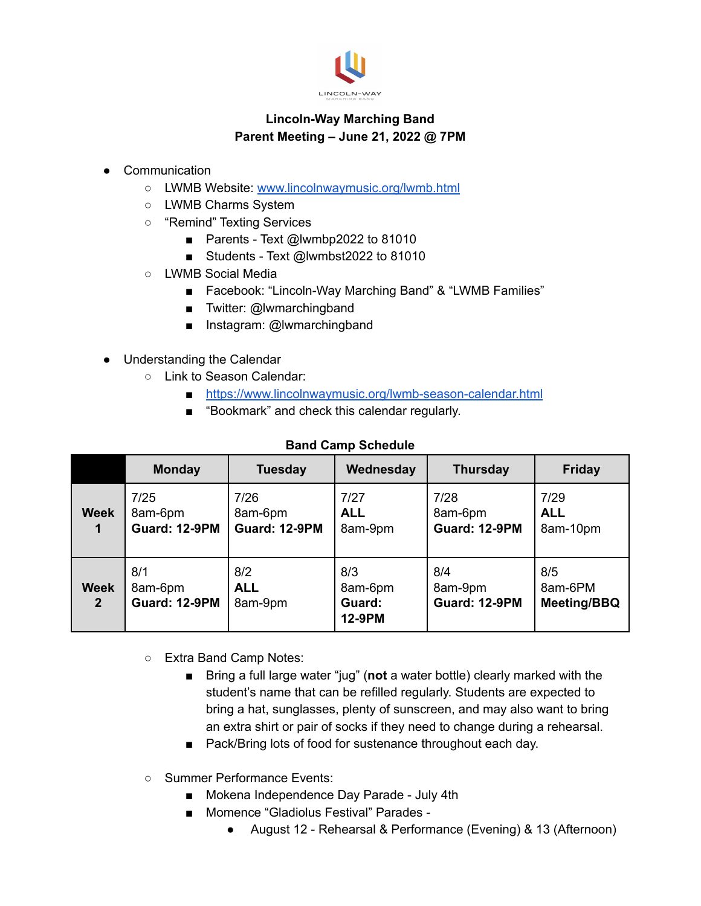

## **Lincoln-Way Marching Band Parent Meeting – June 21, 2022 @ 7PM**

- Communication
	- LWMB Website: [www.lincolnwaymusic.org/lwmb.html](http://www.lincolnwaymusic.org/lwmb.html)
	- LWMB Charms System
	- "Remind" Texting Services
		- Parents Text @lwmbp2022 to 81010
		- Students Text @lwmbst2022 to 81010
	- LWMB Social Media
		- Facebook: "Lincoln-Way Marching Band" & "LWMB Families"
		- Twitter: @lwmarchingband
		- Instagram: @lwmarchingband
- Understanding the Calendar
	- Link to Season Calendar:
		- <https://www.lincolnwaymusic.org/lwmb-season-calendar.html>
		- "Bookmark" and check this calendar regularly.

|                               | <b>Monday</b>                           | <b>Tuesday</b>                          | Wednesday                          | <b>Thursday</b>                         | <b>Friday</b>                        |
|-------------------------------|-----------------------------------------|-----------------------------------------|------------------------------------|-----------------------------------------|--------------------------------------|
| <b>Week</b><br>1              | 7/25<br>8am-6pm<br><b>Guard: 12-9PM</b> | 7/26<br>8am-6pm<br><b>Guard: 12-9PM</b> | 7/27<br><b>ALL</b><br>8am-9pm      | 7/28<br>8am-6pm<br><b>Guard: 12-9PM</b> | 7/29<br><b>ALL</b><br>8am-10pm       |
| <b>Week</b><br>2 <sup>2</sup> | 8/1<br>8am-6pm<br><b>Guard: 12-9PM</b>  | 8/2<br><b>ALL</b><br>8am-9pm            | 8/3<br>8am-6pm<br>Guard:<br>12-9PM | 8/4<br>8am-9pm<br><b>Guard: 12-9PM</b>  | 8/5<br>8am-6PM<br><b>Meeting/BBQ</b> |

## **Band Camp Schedule**

- Extra Band Camp Notes:
	- Bring a full large water "jug" (not a water bottle) clearly marked with the student's name that can be refilled regularly. Students are expected to bring a hat, sunglasses, plenty of sunscreen, and may also want to bring an extra shirt or pair of socks if they need to change during a rehearsal.
	- Pack/Bring lots of food for sustenance throughout each day.
- Summer Performance Events:
	- Mokena Independence Day Parade July 4th
	- Momence "Gladiolus Festival" Parades -
		- August 12 Rehearsal & Performance (Evening) & 13 (Afternoon)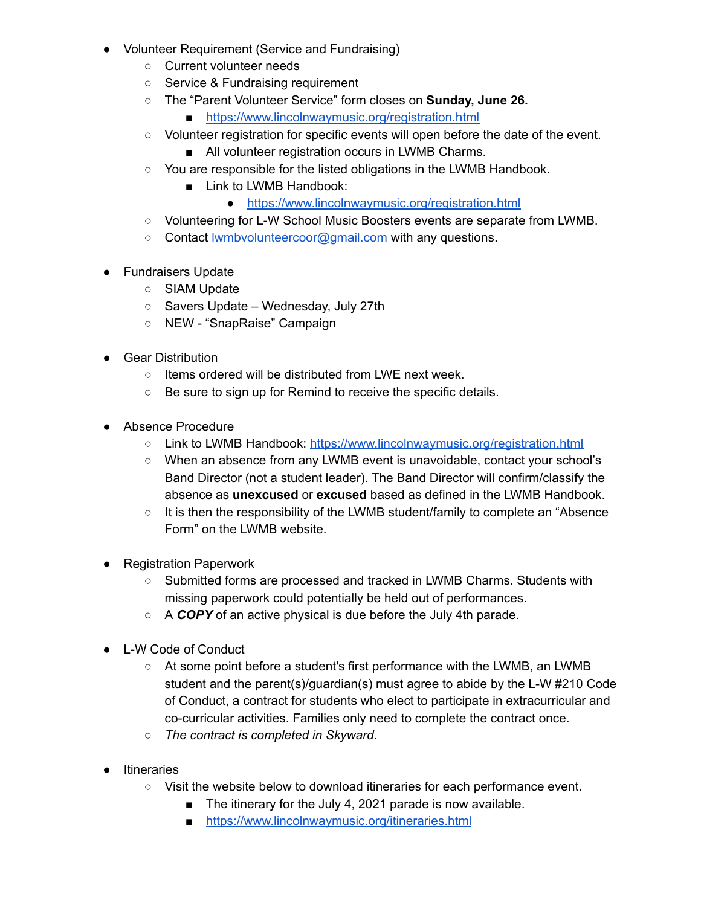- Volunteer Requirement (Service and Fundraising)
	- Current volunteer needs
	- Service & Fundraising requirement
	- The "Parent Volunteer Service" form closes on **Sunday, June 26.**
		- <https://www.lincolnwaymusic.org/registration.html>
	- Volunteer registration for specific events will open before the date of the event.
		- All volunteer registration occurs in LWMB Charms.
	- You are responsible for the listed obligations in the LWMB Handbook.
		- Link to LWMB Handbook:
			- <https://www.lincolnwaymusic.org/registration.html>
	- Volunteering for L-W School Music Boosters events are separate from LWMB.
	- Contact **wmbvolunteercoor@gmail.com** with any questions.
- Fundraisers Update
	- o SIAM Update
	- Savers Update Wednesday, July 27th
	- NEW "SnapRaise" Campaign
- Gear Distribution
	- Items ordered will be distributed from LWE next week.
	- Be sure to sign up for Remind to receive the specific details.
- Absence Procedure
	- Link to LWMB Handbook: <https://www.lincolnwaymusic.org/registration.html>
	- When an absence from any LWMB event is unavoidable, contact your school's Band Director (not a student leader). The Band Director will confirm/classify the absence as **unexcused** or **excused** based as defined in the LWMB Handbook.
	- It is then the responsibility of the LWMB student/family to complete an "Absence Form" on the LWMB website.
- Registration Paperwork
	- Submitted forms are processed and tracked in LWMB Charms. Students with missing paperwork could potentially be held out of performances.
	- A *COPY* of an active physical is due before the July 4th parade.
- L-W Code of Conduct
	- At some point before a student's first performance with the LWMB, an LWMB student and the parent(s)/guardian(s) must agree to abide by the L-W #210 Code of Conduct, a contract for students who elect to participate in extracurricular and co-curricular activities. Families only need to complete the contract once.
	- *The contract is completed in Skyward.*
- Itineraries
	- Visit the website below to download itineraries for each performance event.
		- The itinerary for the July 4, 2021 parade is now available.
		- <https://www.lincolnwaymusic.org/itineraries.html>